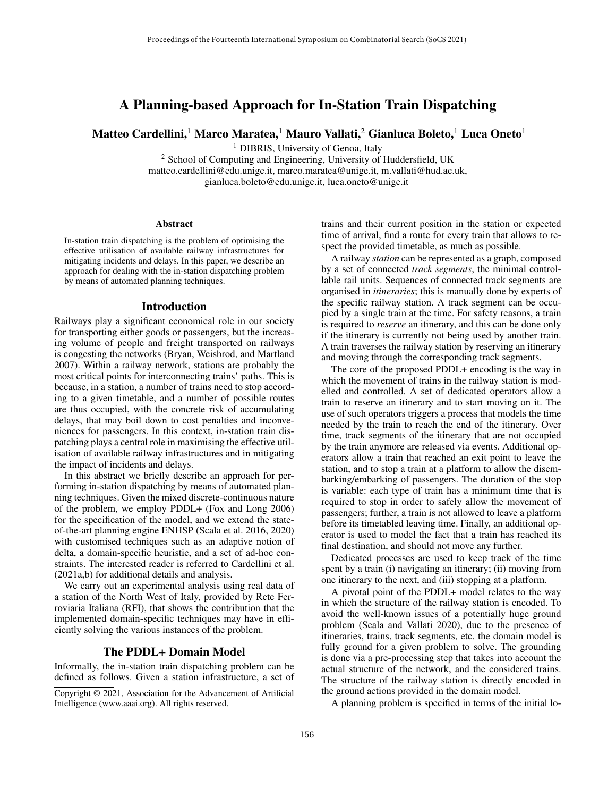# A Planning-based Approach for In-Station Train Dispatching

Matteo Cardellini,<sup>1</sup> Marco Maratea,<sup>1</sup> Mauro Vallati,<sup>2</sup> Gianluca Boleto,<sup>1</sup> Luca Oneto<sup>1</sup>

<sup>1</sup> DIBRIS, University of Genoa, Italy

<sup>2</sup> School of Computing and Engineering, University of Huddersfield, UK matteo.cardellini@edu.unige.it, marco.maratea@unige.it, m.vallati@hud.ac.uk, gianluca.boleto@edu.unige.it, luca.oneto@unige.it

#### **Abstract**

In-station train dispatching is the problem of optimising the effective utilisation of available railway infrastructures for mitigating incidents and delays. In this paper, we describe an approach for dealing with the in-station dispatching problem by means of automated planning techniques.

### Introduction

Railways play a significant economical role in our society for transporting either goods or passengers, but the increasing volume of people and freight transported on railways is congesting the networks (Bryan, Weisbrod, and Martland 2007). Within a railway network, stations are probably the most critical points for interconnecting trains' paths. This is because, in a station, a number of trains need to stop according to a given timetable, and a number of possible routes are thus occupied, with the concrete risk of accumulating delays, that may boil down to cost penalties and inconveniences for passengers. In this context, in-station train dispatching plays a central role in maximising the effective utilisation of available railway infrastructures and in mitigating the impact of incidents and delays.

In this abstract we briefly describe an approach for performing in-station dispatching by means of automated planning techniques. Given the mixed discrete-continuous nature of the problem, we employ PDDL+ (Fox and Long 2006) for the specification of the model, and we extend the stateof-the-art planning engine ENHSP (Scala et al. 2016, 2020) with customised techniques such as an adaptive notion of delta, a domain-specific heuristic, and a set of ad-hoc constraints. The interested reader is referred to Cardellini et al. (2021a,b) for additional details and analysis.

We carry out an experimental analysis using real data of a station of the North West of Italy, provided by Rete Ferroviaria Italiana (RFI), that shows the contribution that the implemented domain-specific techniques may have in efficiently solving the various instances of the problem.

# The PDDL+ Domain Model

Informally, the in-station train dispatching problem can be defined as follows. Given a station infrastructure, a set of trains and their current position in the station or expected time of arrival, find a route for every train that allows to respect the provided timetable, as much as possible.

A railway *station* can be represented as a graph, composed by a set of connected *track segments*, the minimal controllable rail units. Sequences of connected track segments are organised in *itineraries*; this is manually done by experts of the specific railway station. A track segment can be occupied by a single train at the time. For safety reasons, a train is required to *reserve* an itinerary, and this can be done only if the itinerary is currently not being used by another train. A train traverses the railway station by reserving an itinerary and moving through the corresponding track segments.

The core of the proposed PDDL+ encoding is the way in which the movement of trains in the railway station is modelled and controlled. A set of dedicated operators allow a train to reserve an itinerary and to start moving on it. The use of such operators triggers a process that models the time needed by the train to reach the end of the itinerary. Over time, track segments of the itinerary that are not occupied by the train anymore are released via events. Additional operators allow a train that reached an exit point to leave the station, and to stop a train at a platform to allow the disembarking/embarking of passengers. The duration of the stop is variable: each type of train has a minimum time that is required to stop in order to safely allow the movement of passengers; further, a train is not allowed to leave a platform before its timetabled leaving time. Finally, an additional operator is used to model the fact that a train has reached its final destination, and should not move any further.

Dedicated processes are used to keep track of the time spent by a train (i) navigating an itinerary; (ii) moving from one itinerary to the next, and (iii) stopping at a platform.

A pivotal point of the PDDL+ model relates to the way in which the structure of the railway station is encoded. To avoid the well-known issues of a potentially huge ground problem (Scala and Vallati 2020), due to the presence of itineraries, trains, track segments, etc. the domain model is fully ground for a given problem to solve. The grounding is done via a pre-processing step that takes into account the actual structure of the network, and the considered trains. The structure of the railway station is directly encoded in the ground actions provided in the domain model.

A planning problem is specified in terms of the initial lo-

Copyright © 2021, Association for the Advancement of Artificial Intelligence (www.aaai.org). All rights reserved.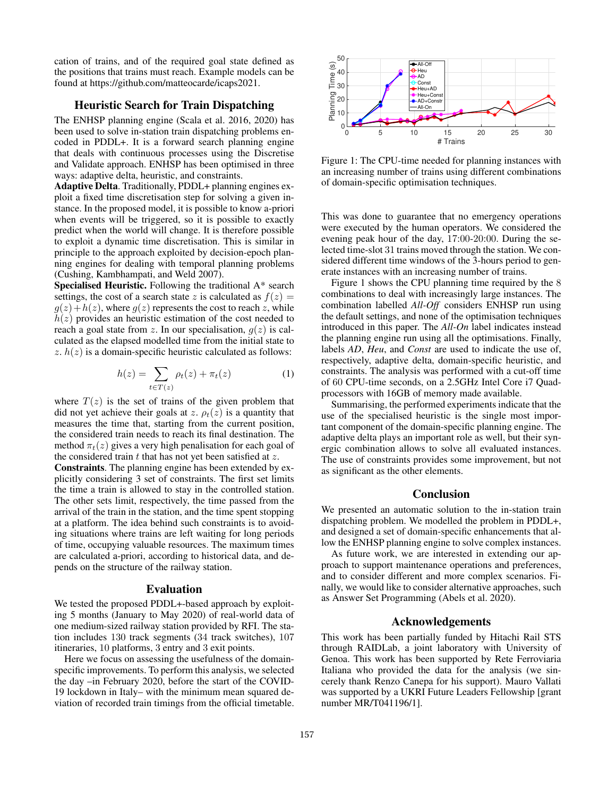cation of trains, and of the required goal state defined as the positions that trains must reach. Example models can be found at https://github.com/matteocarde/icaps2021.

# Heuristic Search for Train Dispatching

The ENHSP planning engine (Scala et al. 2016, 2020) has been used to solve in-station train dispatching problems encoded in PDDL+. It is a forward search planning engine that deals with continuous processes using the Discretise and Validate approach. ENHSP has been optimised in three ways: adaptive delta, heuristic, and constraints.

Adaptive Delta. Traditionally, PDDL+ planning engines exploit a fixed time discretisation step for solving a given instance. In the proposed model, it is possible to know a-priori when events will be triggered, so it is possible to exactly predict when the world will change. It is therefore possible to exploit a dynamic time discretisation. This is similar in principle to the approach exploited by decision-epoch planning engines for dealing with temporal planning problems (Cushing, Kambhampati, and Weld 2007).

Specialised Heuristic. Following the traditional A\* search settings, the cost of a search state z is calculated as  $f(z) =$  $q(z)+h(z)$ , where  $q(z)$  represents the cost to reach z, while  $h(z)$  provides an heuristic estimation of the cost needed to reach a goal state from z. In our specialisation,  $g(z)$  is calculated as the elapsed modelled time from the initial state to z.  $h(z)$  is a domain-specific heuristic calculated as follows:

$$
h(z) = \sum_{t \in T(z)} \rho_t(z) + \pi_t(z) \tag{1}
$$

where  $T(z)$  is the set of trains of the given problem that did not yet achieve their goals at z.  $\rho_t(z)$  is a quantity that measures the time that, starting from the current position, the considered train needs to reach its final destination. The method  $\pi_t(z)$  gives a very high penalisation for each goal of the considered train  $t$  that has not yet been satisfied at  $z$ .

Constraints. The planning engine has been extended by explicitly considering 3 set of constraints. The first set limits the time a train is allowed to stay in the controlled station. The other sets limit, respectively, the time passed from the arrival of the train in the station, and the time spent stopping at a platform. The idea behind such constraints is to avoiding situations where trains are left waiting for long periods of time, occupying valuable resources. The maximum times are calculated a-priori, according to historical data, and depends on the structure of the railway station.

#### Evaluation

We tested the proposed PDDL+-based approach by exploiting 5 months (January to May 2020) of real-world data of one medium-sized railway station provided by RFI. The station includes 130 track segments (34 track switches), 107 itineraries, 10 platforms, 3 entry and 3 exit points.

Here we focus on assessing the usefulness of the domainspecific improvements. To perform this analysis, we selected the day –in February 2020, before the start of the COVID-19 lockdown in Italy– with the minimum mean squared deviation of recorded train timings from the official timetable.



Figure 1: The CPU-time needed for planning instances with an increasing number of trains using different combinations of domain-specific optimisation techniques.

This was done to guarantee that no emergency operations were executed by the human operators. We considered the evening peak hour of the day, 17:00-20:00. During the selected time-slot 31 trains moved through the station. We considered different time windows of the 3-hours period to generate instances with an increasing number of trains.

Figure 1 shows the CPU planning time required by the 8 combinations to deal with increasingly large instances. The combination labelled *All-Off* considers ENHSP run using the default settings, and none of the optimisation techniques introduced in this paper. The *All-On* label indicates instead the planning engine run using all the optimisations. Finally, labels *AD*, *Heu*, and *Const* are used to indicate the use of, respectively, adaptive delta, domain-specific heuristic, and constraints. The analysis was performed with a cut-off time of 60 CPU-time seconds, on a 2.5GHz Intel Core i7 Quadprocessors with 16GB of memory made available.

Summarising, the performed experiments indicate that the use of the specialised heuristic is the single most important component of the domain-specific planning engine. The adaptive delta plays an important role as well, but their synergic combination allows to solve all evaluated instances. The use of constraints provides some improvement, but not as significant as the other elements.

## Conclusion

We presented an automatic solution to the in-station train dispatching problem. We modelled the problem in PDDL+, and designed a set of domain-specific enhancements that allow the ENHSP planning engine to solve complex instances.

As future work, we are interested in extending our approach to support maintenance operations and preferences, and to consider different and more complex scenarios. Finally, we would like to consider alternative approaches, such as Answer Set Programming (Abels et al. 2020).

### Acknowledgements

This work has been partially funded by Hitachi Rail STS through RAIDLab, a joint laboratory with University of Genoa. This work has been supported by Rete Ferroviaria Italiana who provided the data for the analysis (we sincerely thank Renzo Canepa for his support). Mauro Vallati was supported by a UKRI Future Leaders Fellowship [grant number MR/T041196/1].